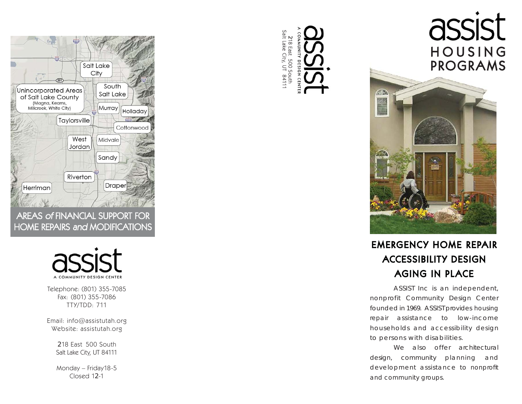

AREAS of FINANCIAL SUPPORT FOR HOME REPAIRS and MODIFICATIONS



Telephone: (801) 355-7085 Fax: (801) 355-7086 TTY/TDD: 711

Email: info@assistutah.org Website: assistutah.org

> 218 East 500 SouthSalt Lake City, UT 84111

> Monday – Friday18-5 Closed 12-1







## EMERGENCY HOME REPAIR ACCESSIBILITY DESIGN AGING IN PLACE

 ASSIST Inc is an independent, nonprofit Community Design Center founded in 1969. ASSIST provides housing repair assistance to low-income households and accessibility design to persons with disabilities.

 We also offer architectural design, community planning and development assistance to nonprofit and community groups.